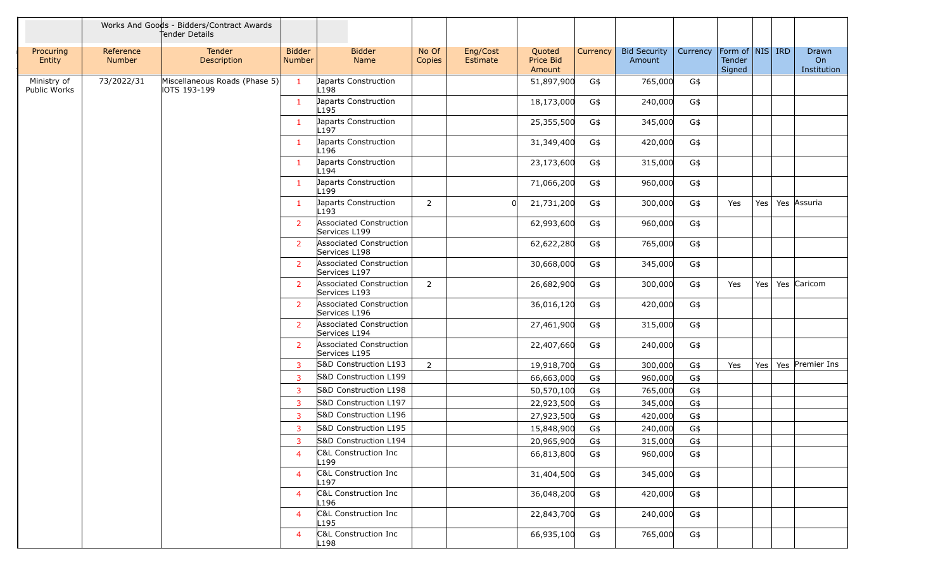|                             |                            | Works And Goods - Bidders/Contract Awards<br>Tender Details |                         |                  |                                                |                 |                      |                               |          |                               |          |                                         |         |                            |
|-----------------------------|----------------------------|-------------------------------------------------------------|-------------------------|------------------|------------------------------------------------|-----------------|----------------------|-------------------------------|----------|-------------------------------|----------|-----------------------------------------|---------|----------------------------|
| Procuring<br>Entity         | Reference<br><b>Number</b> | Tender<br>Description                                       | <b>Bidder</b><br>Number |                  | <b>Bidder</b><br>Name                          | No Of<br>Copies | Eng/Cost<br>Estimate | Quoted<br>Price Bid<br>Amount | Currency | <b>Bid Security</b><br>Amount | Currency | Form of   NIS   IRD<br>Tender<br>Signed |         | Drawn<br>On<br>Institution |
| Ministry of<br>Public Works | 73/2022/31                 | Miscellaneous Roads (Phase 5)<br>IOTS 193-199               | $\mathbf{1}$            | L198             | Japarts Construction                           |                 |                      | 51,897,900                    | G\$      | 765,000                       | G\$      |                                         |         |                            |
|                             |                            |                                                             | 1                       | L <sub>195</sub> | Japarts Construction                           |                 |                      | 18,173,000                    | G\$      | 240,000                       | G\$      |                                         |         |                            |
|                             |                            |                                                             | $\mathbf{1}$            | L197             | Japarts Construction                           |                 |                      | 25,355,500                    | G\$      | 345,000                       | G\$      |                                         |         |                            |
|                             |                            |                                                             | 1                       | L196             | Japarts Construction                           |                 |                      | 31,349,400                    | G\$      | 420,000                       | G\$      |                                         |         |                            |
|                             |                            |                                                             | $\mathbf{1}$            |                  | Japarts Construction                           |                 |                      | 23,173,600                    | G\$      | 315,000                       | G\$      |                                         |         |                            |
|                             |                            |                                                             | $\mathbf{1}$            | L194             | Japarts Construction                           |                 |                      | 71,066,200                    | G\$      | 960,000                       | G\$      |                                         |         |                            |
|                             |                            |                                                             | 1                       | L <sub>199</sub> | Japarts Construction                           | $\overline{2}$  |                      | 21,731,200                    | G\$      | 300,000                       | G\$      | Yes                                     | Yes     | Yes Assuria                |
|                             |                            |                                                             | $\overline{2}$          | L <sub>193</sub> | <b>Associated Construction</b>                 |                 |                      | 62,993,600                    | G\$      | 960,000                       | G\$      |                                         |         |                            |
|                             |                            |                                                             | $\overline{2}$          | Services L199    | <b>Associated Construction</b>                 |                 |                      | 62,622,280                    | G\$      | 765,000                       | G\$      |                                         |         |                            |
|                             |                            |                                                             | $\mathbf{2}$            | Services L198    | <b>Associated Construction</b>                 |                 |                      | 30,668,000                    | G\$      | 345,000                       | G\$      |                                         |         |                            |
|                             |                            |                                                             | <sup>2</sup>            | Services L197    | <b>Associated Construction</b>                 | $\overline{2}$  |                      | 26,682,900                    | G\$      | 300,000                       | G\$      | Yes                                     | Yes     | Yes Caricom                |
|                             |                            |                                                             | $\overline{2}$          | Services L193    | <b>Associated Construction</b>                 |                 |                      | 36,016,120                    | G\$      | 420,000                       | G\$      |                                         |         |                            |
|                             |                            |                                                             | $\mathbf{2}$            | Services L196    | <b>Associated Construction</b>                 |                 |                      | 27,461,900                    | G\$      | 315,000                       | G\$      |                                         |         |                            |
|                             |                            |                                                             | $\overline{2}$          | Services L194    | Associated Construction                        |                 |                      | 22,407,660                    | G\$      | 240,000                       | G\$      |                                         |         |                            |
|                             |                            |                                                             |                         | Services L195    |                                                |                 |                      |                               |          |                               |          |                                         |         |                            |
|                             |                            |                                                             | 3                       |                  | S&D Construction L193                          | $\overline{2}$  |                      | 19,918,700                    | G\$      | 300,000                       | G\$      | Yes                                     | Yes $ $ | Yes Premier Ins            |
|                             |                            |                                                             | 3                       |                  | S&D Construction L199                          |                 |                      | 66,663,000                    | G\$      | 960,000                       | G\$      |                                         |         |                            |
|                             |                            |                                                             | 3                       |                  | S&D Construction L198                          |                 |                      | 50,570,100                    | G\$      | 765,000                       | G\$      |                                         |         |                            |
|                             |                            |                                                             | 3                       |                  | S&D Construction L197                          |                 |                      | 22,923,500                    | G\$      | 345,000                       | G\$      |                                         |         |                            |
|                             |                            |                                                             | 3                       |                  | S&D Construction L196<br>S&D Construction L195 |                 |                      | 27,923,500                    | G\$      | 420,000                       | G\$      |                                         |         |                            |
|                             |                            |                                                             | 3<br>3 <sup>7</sup>     |                  | S&D Construction L194                          |                 |                      | 15,848,900                    | G\$      | 240,000                       | G\$      |                                         |         |                            |
|                             |                            |                                                             |                         |                  | C&L Construction Inc                           |                 |                      | 20,965,900                    | G\$      | 315,000                       | G\$      |                                         |         |                            |
|                             |                            |                                                             | 4                       | L199             |                                                |                 |                      | 66,813,800                    | G\$      | 960,000                       | G\$      |                                         |         |                            |
|                             |                            |                                                             | $\overline{4}$          | L197             | C&L Construction Inc                           |                 |                      | 31,404,500                    | G\$      | 345,000                       | G\$      |                                         |         |                            |
|                             |                            |                                                             | 4                       | L196             | C&L Construction Inc                           |                 |                      | 36,048,200                    | G\$      | 420,000                       | G\$      |                                         |         |                            |
|                             |                            |                                                             | 4                       | L <sub>195</sub> | C&L Construction Inc                           |                 |                      | 22,843,700                    | G\$      | 240,000                       | G\$      |                                         |         |                            |
|                             |                            |                                                             | 4                       | L198             | C&L Construction Inc                           |                 |                      | 66,935,100                    | G\$      | 765,000                       | G\$      |                                         |         |                            |